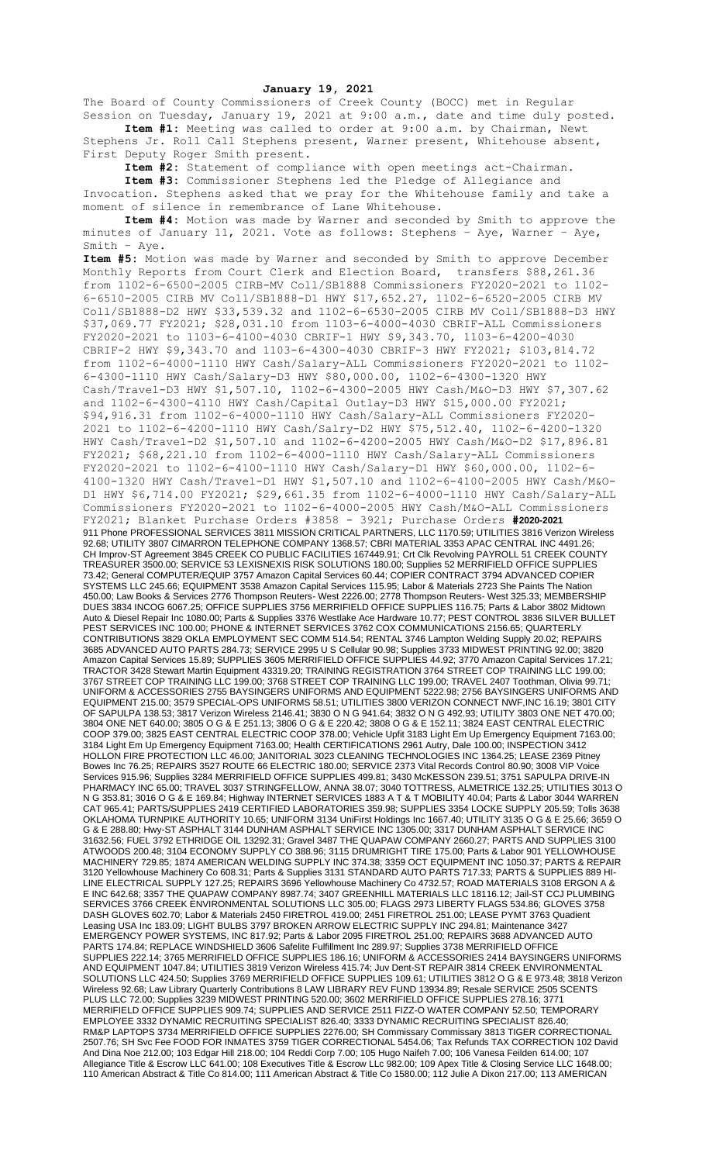## **January 19, 2021**

The Board of County Commissioners of Creek County (BOCC) met in Regular Session on Tuesday, January 19, 2021 at 9:00 a.m., date and time duly posted. **Item #1:** Meeting was called to order at 9:00 a.m. by Chairman, Newt

Stephens Jr. Roll Call Stephens present, Warner present, Whitehouse absent, First Deputy Roger Smith present.

**Item #2:** Statement of compliance with open meetings act-Chairman.

**Item #3:** Commissioner Stephens led the Pledge of Allegiance and Invocation. Stephens asked that we pray for the Whitehouse family and take a moment of silence in remembrance of Lane Whitehouse.

**Item #4:** Motion was made by Warner and seconded by Smith to approve the minutes of January 11, 2021. Vote as follows: Stephens – Aye, Warner – Aye, Smith – Aye.

**Item #5:** Motion was made by Warner and seconded by Smith to approve December Monthly Reports from Court Clerk and Election Board, transfers \$88,261.36 from 1102-6-6500-2005 CIRB-MV Coll/SB1888 Commissioners FY2020-2021 to 1102- 6-6510-2005 CIRB MV Coll/SB1888-D1 HWY \$17,652.27, 1102-6-6520-2005 CIRB MV Coll/SB1888-D2 HWY \$33,539.32 and 1102-6-6530-2005 CIRB MV Coll/SB1888-D3 HWY \$37,069.77 FY2021; \$28,031.10 from 1103-6-4000-4030 CBRIF-ALL Commissioners FY2020-2021 to 1103-6-4100-4030 CBRIF-1 HWY \$9,343.70, 1103-6-4200-4030 CBRIF-2 HWY \$9,343.70 and 1103-6-4300-4030 CBRIF-3 HWY FY2021; \$103,814.72 from 1102-6-4000-1110 HWY Cash/Salary-ALL Commissioners FY2020-2021 to 1102- 6-4300-1110 HWY Cash/Salary-D3 HWY \$80,000.00, 1102-6-4300-1320 HWY Cash/Travel-D3 HWY \$1,507.10, 1102-6-4300-2005 HWY Cash/M&O-D3 HWY \$7,307.62 and 1102-6-4300-4110 HWY Cash/Capital Outlay-D3 HWY \$15,000.00 FY2021; \$94,916.31 from 1102-6-4000-1110 HWY Cash/Salary-ALL Commissioners FY2020- 2021 to 1102-6-4200-1110 HWY Cash/Salry-D2 HWY \$75,512.40, 1102-6-4200-1320 HWY Cash/Travel-D2 \$1,507.10 and 1102-6-4200-2005 HWY Cash/M&O-D2 \$17,896.81 FY2021; \$68,221.10 from 1102-6-4000-1110 HWY Cash/Salary-ALL Commissioners FY2020-2021 to 1102-6-4100-1110 HWY Cash/Salary-D1 HWY \$60,000.00, 1102-6- 4100-1320 HWY Cash/Travel-D1 HWY \$1,507.10 and 1102-6-4100-2005 HWY Cash/M&O-D1 HWY \$6,714.00 FY2021; \$29,661.35 from 1102-6-4000-1110 HWY Cash/Salary-ALL Commissioners FY2020-2021 to 1102-6-4000-2005 HWY Cash/M&O-ALL Commissioners FY2021; Blanket Purchase Orders #3858 - 3921; Purchase Orders **#2020-2021** 911 Phone PROFESSIONAL SERVICES 3811 MISSION CRITICAL PARTNERS, LLC 1170.59; UTILITIES 3816 Verizon Wireless 92.68; UTILITY 3807 CIMARRON TELEPHONE COMPANY 1368.57; CBRI MATERIAL 3353 APAC CENTRAL INC 4491.26; CH Improv-ST Agreement 3845 CREEK CO PUBLIC FACILITIES 167449.91; Crt Clk Revolving PAYROLL 51 CREEK COUNTY TREASURER 3500.00; SERVICE 53 LEXISNEXIS RISK SOLUTIONS 180.00; Supplies 52 MERRIFIELD OFFICE SUPPLIES 73.42; General COMPUTER/EQUIP 3757 Amazon Capital Services 60.44; COPIER CONTRACT 3794 ADVANCED COPIER SYSTEMS LLC 245.66; EQUIPMENT 3538 Amazon Capital Services 115.95; Labor & Materials 2723 She Paints The Nation 450.00; Law Books & Services 2776 Thompson Reuters- West 2226.00; 2778 Thompson Reuters- West 325.33; MEMBERSHIP DUES 3834 INCOG 6067.25; OFFICE SUPPLIES 3756 MERRIFIELD OFFICE SUPPLIES 116.75; Parts & Labor 3802 Midtown Auto & Diesel Repair Inc 1080.00; Parts & Supplies 3376 Westlake Ace Hardware 10.77; PEST CONTROL 3836 SILVER BULLET PEST SERVICES INC 100.00; PHONE & INTERNET SERVICES 3762 COX COMMUNICATIONS 2156.65; QUARTERLY CONTRIBUTIONS 3829 OKLA EMPLOYMENT SEC COMM 514.54; RENTAL 3746 Lampton Welding Supply 20.02; REPAIRS 3685 ADVANCED AUTO PARTS 284.73; SERVICE 2995 U S Cellular 90.98; Supplies 3733 MIDWEST PRINTING 92.00; 3820 Amazon Capital Services 15.89; SUPPLIES 3605 MERRIFIELD OFFICE SUPPLIES 44.92; 3770 Amazon Capital Services 17.21; TRACTOR 3428 Stewart Martin Equipment 43319.20; TRAINING REGISTRATION 3764 STREET COP TRAINING LLC 199.00; 3767 STREET COP TRAINING LLC 199.00; 3768 STREET COP TRAINING LLC 199.00; TRAVEL 2407 Toothman, Olivia 99.71; UNIFORM & ACCESSORIES 2755 BAYSINGERS UNIFORMS AND EQUIPMENT 5222.98; 2756 BAYSINGERS UNIFORMS AND EQUIPMENT 215.00; 3579 SPECIAL-OPS UNIFORMS 58.51; UTILITIES 3800 VERIZON CONNECT NWF,INC 16.19; 3801 CITY OF SAPULPA 138.53; 3817 Verizon Wireless 2146.41; 3830 O N G 941.64; 3832 O N G 492.93; UTILITY 3803 ONE NET 470.00; 3804 ONE NET 640.00; 3805 O G & E 251.13; 3806 O G & E 220.42; 3808 O G & E 152.11; 3824 EAST CENTRAL ELECTRIC COOP 379.00; 3825 EAST CENTRAL ELECTRIC COOP 378.00; Vehicle Upfit 3183 Light Em Up Emergency Equipment 7163.00; 3184 Light Em Up Emergency Equipment 7163.00; Health CERTIFICATIONS 2961 Autry, Dale 100.00; INSPECTION 3412 HOLLON FIRE PROTECTION LLC 46.00; JANITORIAL 3023 CLEANING TECHNOLOGIES INC 1364.25; LEASE 2369 Pitney Bowes Inc 76.25; REPAIRS 3527 ROUTE 66 ELECTRIC 180.00; SERVICE 2373 Vital Records Control 80.90; 3008 VIP Voice Services 915.96; Supplies 3284 MERRIFIELD OFFICE SUPPLIES 499.81; 3430 McKESSON 239.51; 3751 SAPULPA DRIVE-IN PHARMACY INC 65.00; TRAVEL 3037 STRINGFELLOW, ANNA 38.07; 3040 TOTTRESS, ALMETRICE 132.25; UTILITIES 3013 O N G 353.81; 3016 O G & E 169.84; Highway INTERNET SERVICES 1883 A T & T MOBILITY 40.04; Parts & Labor 3044 WARREN CAT 965.41; PARTS/SUPPLIES 2419 CERTIFIED LABORATORIES 359.98; SUPPLIES 3354 LOCKE SUPPLY 205.59; Tolls 3638 OKLAHOMA TURNPIKE AUTHORITY 10.65; UNIFORM 3134 UniFirst Holdings Inc 1667.40; UTILITY 3135 O G & E 25.66; 3659 O G & E 288.80; Hwy-ST ASPHALT 3144 DUNHAM ASPHALT SERVICE INC 1305.00; 3317 DUNHAM ASPHALT SERVICE INC 31632.56; FUEL 3792 ETHRIDGE OIL 13292.31; Gravel 3487 THE QUAPAW COMPANY 2660.27; PARTS AND SUPPLIES 3100 ATWOODS 200.48; 3104 ECONOMY SUPPLY CO 388.96; 3115 DRUMRIGHT TIRE 175.00; Parts & Labor 901 YELLOWHOUSE MACHINERY 729.85; 1874 AMERICAN WELDING SUPPLY INC 374.38; 3359 OCT EQUIPMENT INC 1050.37; PARTS & REPAIR 3120 Yellowhouse Machinery Co 608.31; Parts & Supplies 3131 STANDARD AUTO PARTS 717.33; PARTS & SUPPLIES 889 HI-LINE ELECTRICAL SUPPLY 127.25; REPAIRS 3696 Yellowhouse Machinery Co 4732.57; ROAD MATERIALS 3108 ERGON A & E INC 642.68; 3357 THE QUAPAW COMPANY 8987.74; 3407 GREENHILL MATERIALS LLC 18116.12; Jail-ST CCJ PLUMBING SERVICES 3766 CREEK ENVIRONMENTAL SOLUTIONS LLC 305.00; FLAGS 2973 LIBERTY FLAGS 534.86; GLOVES 3758 DASH GLOVES 602.70; Labor & Materials 2450 FIRETROL 419.00; 2451 FIRETROL 251.00; LEASE PYMT 3763 Quadient Leasing USA Inc 183.09; LIGHT BULBS 3797 BROKEN ARROW ELECTRIC SUPPLY INC 294.81; Maintenance 3427 EMERGENCY POWER SYSTEMS, INC 817.92; Parts & Labor 2095 FIRETROL 251.00; REPAIRS 3688 ADVANCED AUTO PARTS 174.84; REPLACE WINDSHIELD 3606 Safelite Fulfillment Inc 289.97; Supplies 3738 MERRIFIELD OFFICE SUPPLIES 222.14; 3765 MERRIFIELD OFFICE SUPPLIES 186.16; UNIFORM & ACCESSORIES 2414 BAYSINGERS UNIFORMS AND EQUIPMENT 1047.84; UTILITIES 3819 Verizon Wireless 415.74; Juv Dent-ST REPAIR 3814 CREEK ENVIRONMENTAL SOLUTIONS LLC 424.50; Supplies 3769 MERRIFIELD OFFICE SUPPLIES 109.61; UTILITIES 3812 O G & E 973.48; 3818 Verizon Wireless 92.68; Law Library Quarterly Contributions 8 LAW LIBRARY REV FUND 13934.89; Resale SERVICE 2505 SCENTS PLUS LLC 72.00; Supplies 3239 MIDWEST PRINTING 520.00; 3602 MERRIFIELD OFFICE SUPPLIES 278.16; 3771 MERRIFIELD OFFICE SUPPLIES 909.74; SUPPLIES AND SERVICE 2511 FIZZ-O WATER COMPANY 52.50; TEMPORARY EMPLOYEE 3332 DYNAMIC RECRUITING SPECIALIST 826.40; 3333 DYNAMIC RECRUITING SPECIALIST 826.40; RM&P LAPTOPS 3734 MERRIFIELD OFFICE SUPPLIES 2276.00; SH Commissary Commissary 3813 TIGER CORRECTIONAL 2507.76; SH Svc Fee FOOD FOR INMATES 3759 TIGER CORRECTIONAL 5454.06; Tax Refunds TAX CORRECTION 102 David And Dina Noe 212.00; 103 Edgar Hill 218.00; 104 Reddi Corp 7.00; 105 Hugo Naifeh 7.00; 106 Vanesa Feilden 614.00; 107 Allegiance Title & Escrow LLC 641.00; 108 Executives Title & Escrow LLc 982.00; 109 Apex Title & Closing Service LLC 1648.00; 110 American Abstract & Title Co 814.00; 111 American Abstract & Title Co 1580.00; 112 Julie A Dixon 217.00; 113 AMERICAN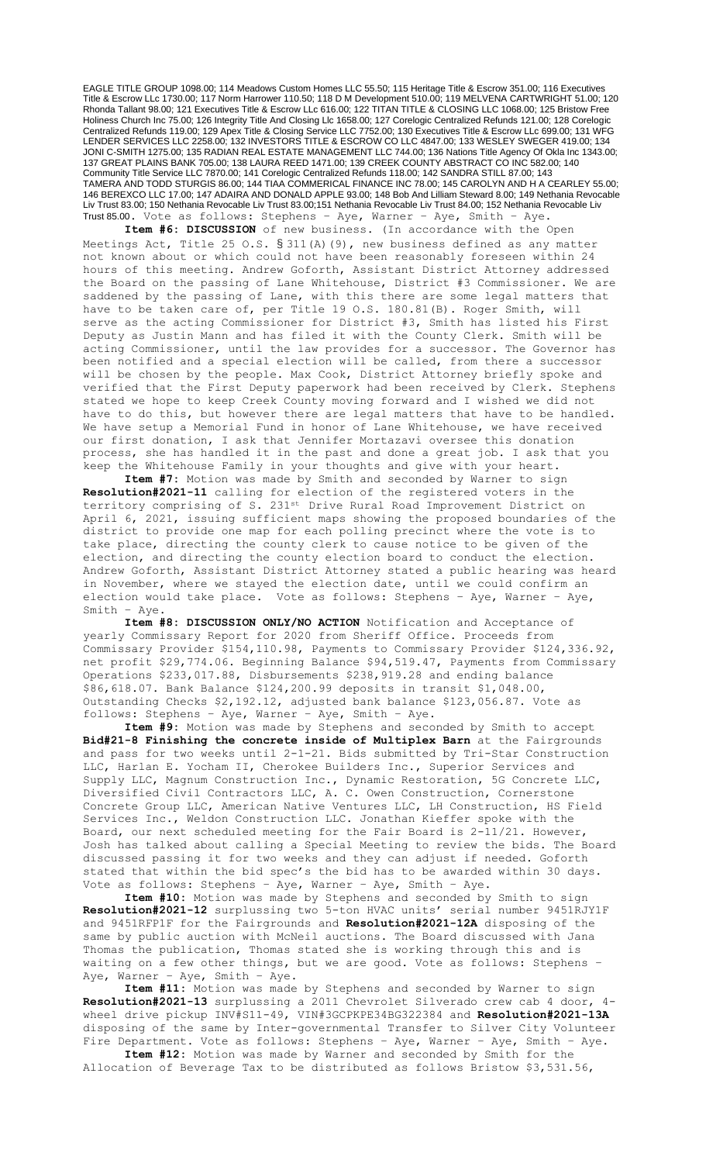EAGLE TITLE GROUP 1098.00; 114 Meadows Custom Homes LLC 55.50; 115 Heritage Title & Escrow 351.00; 116 Executives Title & Escrow LLc 1730.00; 117 Norm Harrower 110.50; 118 D M Development 510.00; 119 MELVENA CARTWRIGHT 51.00; 120 Rhonda Tallant 98.00; 121 Executives Title & Escrow LLc 616.00; 122 TITAN TITLE & CLOSING LLC 1068.00; 125 Bristow Free Holiness Church Inc 75.00; 126 Integrity Title And Closing Llc 1658.00; 127 Corelogic Centralized Refunds 121.00; 128 Corelogic Centralized Refunds 119.00; 129 Apex Title & Closing Service LLC 7752.00; 130 Executives Title & Escrow LLc 699.00; 131 WFG LENDER SERVICES LLC 2258.00; 132 INVESTORS TITLE & ESCROW CO LLC 4847.00; 133 WESLEY SWEGER 419.00; 134 JONI C-SMITH 1275.00; 135 RADIAN REAL ESTATE MANAGEMENT LLC 744.00; 136 Nations Title Agency Of Okla Inc 1343.00; 137 GREAT PLAINS BANK 705.00; 138 LAURA REED 1471.00; 139 CREEK COUNTY ABSTRACT CO INC 582.00; 140 Community Title Service LLC 7870.00; 141 Corelogic Centralized Refunds 118.00; 142 SANDRA STILL 87.00; 143 TAMERA AND TODD STURGIS 86.00; 144 TIAA COMMERICAL FINANCE INC 78.00; 145 CAROLYN AND H A CEARLEY 55.00; 146 BEREXCO LLC 17.00; 147 ADAIRA AND DONALD APPLE 93.00; 148 Bob And Lilliam Steward 8.00; 149 Nethania Revocable Liv Trust 83.00; 150 Nethania Revocable Liv Trust 83.00;151 Nethania Revocable Liv Trust 84.00; 152 Nethania Revocable Liv Trust 85.00. Vote as follows: Stephens – Aye, Warner – Aye, Smith – Aye.

**Item #6: DISCUSSION** of new business. (In accordance with the Open Meetings Act, Title 25 O.S. § 311(A)(9), new business defined as any matter not known about or which could not have been reasonably foreseen within 24 hours of this meeting. Andrew Goforth, Assistant District Attorney addressed the Board on the passing of Lane Whitehouse, District #3 Commissioner. We are saddened by the passing of Lane, with this there are some legal matters that have to be taken care of, per Title 19 O.S. 180.81(B). Roger Smith, will serve as the acting Commissioner for District #3, Smith has listed his First Deputy as Justin Mann and has filed it with the County Clerk. Smith will be acting Commissioner, until the law provides for a successor. The Governor has been notified and a special election will be called, from there a successor will be chosen by the people. Max Cook, District Attorney briefly spoke and verified that the First Deputy paperwork had been received by Clerk. Stephens stated we hope to keep Creek County moving forward and I wished we did not have to do this, but however there are legal matters that have to be handled. We have setup a Memorial Fund in honor of Lane Whitehouse, we have received our first donation, I ask that Jennifer Mortazavi oversee this donation process, she has handled it in the past and done a great job. I ask that you keep the Whitehouse Family in your thoughts and give with your heart.

**Item #7:** Motion was made by Smith and seconded by Warner to sign **Resolution#2021-11** calling for election of the registered voters in the territory comprising of S. 231st Drive Rural Road Improvement District on April 6, 2021, issuing sufficient maps showing the proposed boundaries of the district to provide one map for each polling precinct where the vote is to take place, directing the county clerk to cause notice to be given of the election, and directing the county election board to conduct the election. Andrew Goforth, Assistant District Attorney stated a public hearing was heard in November, where we stayed the election date, until we could confirm an election would take place. Vote as follows: Stephens – Aye, Warner – Aye, Smith – Aye.

**Item #8: DISCUSSION ONLY/NO ACTION** Notification and Acceptance of yearly Commissary Report for 2020 from Sheriff Office. Proceeds from Commissary Provider \$154,110.98, Payments to Commissary Provider \$124,336.92, net profit \$29,774.06. Beginning Balance \$94,519.47, Payments from Commissary Operations \$233,017.88, Disbursements \$238,919.28 and ending balance \$86,618.07. Bank Balance \$124,200.99 deposits in transit \$1,048.00, Outstanding Checks \$2,192.12, adjusted bank balance \$123,056.87. Vote as follows: Stephens – Aye, Warner – Aye, Smith – Aye.

**Item #9:** Motion was made by Stephens and seconded by Smith to accept **Bid#21-8 Finishing the concrete inside of Multiplex Barn** at the Fairgrounds and pass for two weeks until 2-1-21. Bids submitted by Tri-Star Construction LLC, Harlan E. Yocham II, Cherokee Builders Inc., Superior Services and Supply LLC, Magnum Construction Inc., Dynamic Restoration, 5G Concrete LLC, Diversified Civil Contractors LLC, A. C. Owen Construction, Cornerstone Concrete Group LLC, American Native Ventures LLC, LH Construction, HS Field Services Inc., Weldon Construction LLC. Jonathan Kieffer spoke with the Board, our next scheduled meeting for the Fair Board is 2-11/21. However, Josh has talked about calling a Special Meeting to review the bids. The Board discussed passing it for two weeks and they can adjust if needed. Goforth stated that within the bid spec's the bid has to be awarded within 30 days. Vote as follows: Stephens – Aye, Warner – Aye, Smith – Aye.

**Item #10:** Motion was made by Stephens and seconded by Smith to sign **Resolution#2021-12** surplussing two 5-ton HVAC units' serial number 9451RJY1F and 9451RFP1F for the Fairgrounds and **Resolution#2021-12A** disposing of the same by public auction with McNeil auctions. The Board discussed with Jana Thomas the publication, Thomas stated she is working through this and is waiting on a few other things, but we are good. Vote as follows: Stephens – Aye, Warner – Aye, Smith – Aye.

**Item #11:** Motion was made by Stephens and seconded by Warner to sign **Resolution#2021-13** surplussing a 2011 Chevrolet Silverado crew cab 4 door, 4 wheel drive pickup INV#S11-49, VIN#3GCPKPE34BG322384 and **Resolution#2021-13A** disposing of the same by Inter-governmental Transfer to Silver City Volunteer Fire Department. Vote as follows: Stephens – Aye, Warner – Aye, Smith – Aye.

**Item #12:** Motion was made by Warner and seconded by Smith for the Allocation of Beverage Tax to be distributed as follows Bristow \$3,531.56,